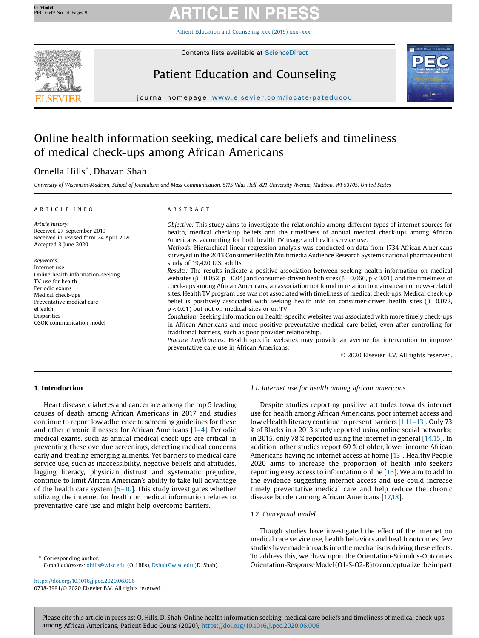Patient Education and [Counseling](https://doi.org/10.1016/j.pec.2020.06.006) xxx (2019) xxx–xxx



Contents lists available at [ScienceDirect](http://www.sciencedirect.com/science/journal/07383991)

# Patient Education and Counseling



journal homepage: <www.elsevier.com/locate/pateducou>

# Online health information seeking, medical care beliefs and timeliness of medical check-ups among African Americans

# Ornella Hills\*, Dhavan Shah

University of Wisconsin-Madison, School of Journalism and Mass Communication, 5115 Vilas Hall, 821 University Avenue, Madison, WI 53705, United States

# A R T I C L E I N F O

Accepted 3 June 2020

TV use for health Periodic exams Medical check-ups Preventative medical care

Received 27 September 2019 Received in revised form 24 April 2020

Online health information-seeking

OSOR communication model

Article history:

Keywords: Internet use

eHealth Disparities A B S T R A C T

Objective: This study aims to investigate the relationship among different types of internet sources for health, medical check-up beliefs and the timeliness of annual medical check-ups among African Americans, accounting for both health TV usage and health service use.

Methods: Hierarchical linear regression analysis was conducted on data from 1734 African Americans surveyed in the 2013 Consumer Health Multimedia Audience Research Systems national pharmaceutical study of 19,420 U.S. adults.

Results: The results indicate a positive association between seeking health information on medical websites (β = 0.052, p = 0.04) and consumer-driven health sites (β = 0.066, p < 0.01), and the timeliness of check-ups among African Americans, an association not found in relation to mainstream or news-related sites. Health TV program use was not associated with timeliness of medical check-ups. Medical check-up belief is positively associated with seeking health info on consumer-driven health sites ( $\beta = 0.072$ , p < 0.01) but not on medical sites or on TV.

Conclusion: Seeking information on health-specific websites was associated with more timely check-ups in African Americans and more positive preventative medical care belief, even after controlling for traditional barriers, such as poor provider relationship.

Practice Implications: Health specific websites may provide an avenue for intervention to improve preventative care use in African Americans.

© 2020 Elsevier B.V. All rights reserved.

# 1. Introduction

Heart disease, diabetes and cancer are among the top 5 leading causes of death among African Americans in 2017 and studies continue to report low adherence to screening guidelines for these and other chronic illnesses for African Americans [1–[4\]](#page-7-0). Periodic medical exams, such as annual medical check-ups are critical in preventing these overdue screenings, detecting medical concerns early and treating emerging ailments. Yet barriers to medical care service use, such as inaccessibility, negative beliefs and attitudes, lagging literacy, physician distrust and systematic prejudice, continue to limit African American's ability to take full advantage of the health care system [5–[10\]](#page-7-0). This study investigates whether utilizing the internet for health or medical information relates to

preventative care use and might help overcome barriers.

1.1. Internet use for health among african americans

Despite studies reporting positive attitudes towards internet use for health among African Americans, poor internet access and low eHealth literacy continue to present barriers [[1,](#page-7-0)11–[13\]](#page-7-0). Only 73 % of Blacks in a 2013 study reported using online social networks; in 2015, only 78 % reported using the internet in general [\[14,15](#page-7-0)]. In addition, other studies report 60 % of older, lower income African Americans having no internet access at home [[13](#page-7-0)]. Healthy People 2020 aims to increase the proportion of health info-seekers reporting easy access to information online [\[16](#page-7-0)]. We aim to add to the evidence suggesting internet access and use could increase timely preventative medical care and help reduce the chronic disease burden among African Americans [[17,18](#page-8-0)].

# 1.2. Conceptual model

Though studies have investigated the effect of the internet on medical care service use, health behaviors and health outcomes, few studies have made inroads into the mechanisms driving these effects. To address this, we draw upon the Orientation-Stimulus-Outcomes Orientation-Response Model (O1-S-O2-R) to conceptualize the impact

Corresponding author. E-mail addresses: [ohills@wisc.edu](mailto:ohills@wisc.edu) (O. Hills), [Dshah@wisc.edu](mailto:Dshah@wisc.edu) (D. Shah).

<https://doi.org/10.1016/j.pec.2020.06.006> 0738-3991/© 2020 Elsevier B.V. All rights reserved.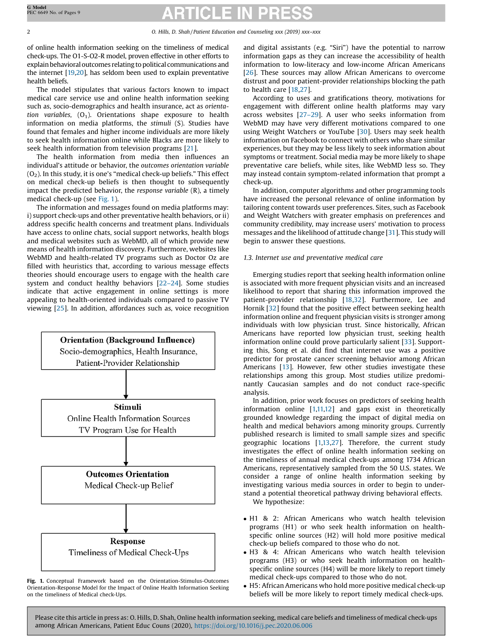of online health information seeking on the timeliness of medical check-ups. The O1-S-O2-R model, proven effective in other efforts to explain behavioral outcomes relating to political communications and the internet [\[19,20](#page-8-0)], has seldom been used to explain preventative health beliefs.

The model stipulates that various factors known to impact medical care service use and online health information seeking such as, socio-demographics and health insurance, act as orientation variables,  $(O_1)$ . Orientations shape exposure to health information on media platforms, the stimuli (S). Studies have found that females and higher income individuals are more likely to seek health information online while Blacks are more likely to seek health information from television programs [\[21](#page-8-0)].

The health information from media then influences an individual's attitude or behavior, the outcomes orientation variable  $(O<sub>2</sub>)$ . In this study, it is one's "medical check-up beliefs." This effect on medical check-up beliefs is then thought to subsequently impact the predicted behavior, the response variable (R), a timely medical check-up (see Fig. 1).

The information and messages found on media platforms may: i) support check-ups and other preventative health behaviors, or ii) address specific health concerns and treatment plans. Individuals have access to online chats, social support networks, health blogs and medical websites such as WebMD, all of which provide new means of health information discovery. Furthermore, websites like WebMD and health-related TV programs such as Doctor Oz are filled with heuristics that, according to various message effects theories should encourage users to engage with the health care system and conduct healthy behaviors [\[22](#page-8-0)–24]. Some studies indicate that active engagement in online settings is more appealing to health-oriented individuals compared to passive TV viewing [\[25](#page-8-0)]. In addition, affordances such as, voice recognition



Fig. 1. Conceptual Framework based on the Orientation-Stimulus-Outcomes Orientation-Response Model for the Impact of Online Health Information Seeking on the timeliness of Medical check-Ups.

and digital assistants (e.g. "Siri") have the potential to narrow information gaps as they can increase the accessibility of health information to low-literacy and low-income African Americans [[26](#page-8-0)]. These sources may allow African Americans to overcome distrust and poor patient-provider relationships blocking the path to health care [[18,27\]](#page-8-0).

According to uses and gratifications theory, motivations for engagement with different online health platforms may vary across websites [\[27](#page-8-0)–29]. A user who seeks information from WebMD may have very different motivations compared to one using Weight Watchers or YouTube [\[30](#page-8-0)]. Users may seek health information on Facebook to connect with others who share similar experiences, but they may be less likely to seek information about symptoms or treatment. Social media may be more likely to shape preventative care beliefs, while sites, like WebMD less so. They may instead contain symptom-related information that prompt a check-up.

In addition, computer algorithms and other programming tools have increased the personal relevance of online information by tailoring content towards user preferences. Sites, such as Facebook and Weight Watchers with greater emphasis on preferences and community credibility, may increase users' motivation to process messages and the likelihood of attitude change [[31](#page-8-0)]. This study will begin to answer these questions.

# 1.3. Internet use and preventative medical care

Emerging studies report that seeking health information online is associated with more frequent physician visits and an increased likelihood to report that sharing this information improved the patient-provider relationship [\[18,32](#page-8-0)]. Furthermore, Lee and Hornik [\[32](#page-8-0)] found that the positive effect between seeking health information online and frequent physician visits is stronger among individuals with low physician trust. Since historically, African Americans have reported low physician trust, seeking health information online could prove particularly salient [[33](#page-8-0)]. Supporting this, Song et al. did find that internet use was a positive predictor for prostate cancer screening behavior among African Americans [[13](#page-7-0)]. However, few other studies investigate these relationships among this group. Most studies utilize predominantly Caucasian samples and do not conduct race-specific analysis.

In addition, prior work focuses on predictors of seeking health information online [\[1,11,12](#page-7-0)] and gaps exist in theoretically grounded knowledge regarding the impact of digital media on health and medical behaviors among minority groups. Currently published research is limited to small sample sizes and specific geographic locations [\[1,13](#page-7-0)[,27\]](#page-8-0). Therefore, the current study investigates the effect of online health information seeking on the timeliness of annual medical check-ups among 1734 African Americans, representatively sampled from the 50 U.S. states. We consider a range of online health information seeking by investigating various media sources in order to begin to understand a potential theoretical pathway driving behavioral effects. We hypothesize:

- H1 & 2: African Americans who watch health television programs (H1) or who seek health information on healthspecific online sources (H2) will hold more positive medical check-up beliefs compared to those who do not.
- H3 & 4: African Americans who watch health television programs (H3) or who seek health information on healthspecific online sources (H4) will be more likely to report timely medical check-ups compared to those who do not.
- H5: African Americans who hold more positive medical check-up beliefs will be more likely to report timely medical check-ups.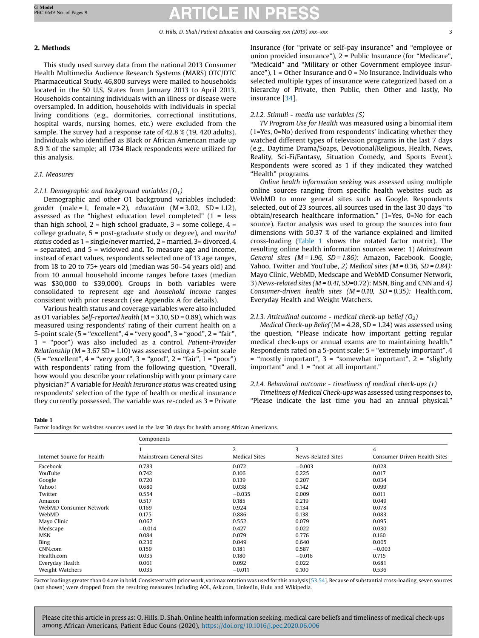# 2. Methods

This study used survey data from the national 2013 Consumer Health Multimedia Audience Research Systems (MARS) OTC/DTC Pharmaceutical Study. 46,800 surveys were mailed to households located in the 50 U.S. States from January 2013 to April 2013. Households containing individuals with an illness or disease were oversampled. In addition, households with individuals in special living conditions (e.g., dormitories, correctional institutions, hospital wards, nursing homes, etc.) were excluded from the sample. The survey had a response rate of 42.8 % (19, 420 adults). Individuals who identified as Black or African American made up 8.9 % of the sample; all 1734 Black respondents were utilized for this analysis.

# 2.1. Measures

# 2.1.1. Demographic and background variables  $(O_1)$

Demographic and other O1 background variables included: gender (male = 1, female = 2), education ( $M = 3.02$ ,  $SD = 1.12$ ), assessed as the "highest education level completed" (1 = less than high school,  $2 =$  high school graduate,  $3 =$  some college,  $4 =$ college graduate, 5 = post-graduate study or degree), and marital status coded as 1 = single/never married, 2 = married, 3= divorced, 4 = separated, and 5 = widowed and. To measure age and income, instead of exact values, respondents selected one of 13 age ranges, from 18 to 20 to 75+ years old (median was 50–54 years old) and from 10 annual household income ranges before taxes (median was \$30,000 to \$39,000). Groups in both variables were consolidated to represent age and household income ranges consistent with prior research (see Appendix A for details).

Various health status and coverage variables were also included as O1 variables. Self-reported health (M = 3.10, SD = 0.89), which was measured using respondents' rating of their current health on a 5-point scale  $(5 = "excellent", 4 = "very good", 3 = "good", 2 = "fair",$ 1 = "poor") was also included as a control. Patient-Provider *Relationship* ( $M = 3.67$  SD = 1.10) was assessed using a 5-point scale  $(5 = "excellent", 4 = "very good", 3 = "good", 2 = "fair", 1 = "poor")$ with respondents' rating from the following question, "Overall, how would you describe your relationship with your primary care physician?" Avariable for Health Insurance status was created using respondents' selection of the type of health or medical insurance they currently possessed. The variable was re-coded as 3 = Private Insurance (for "private or self-pay insurance" and "employee or union provided insurance"), 2 = Public Insurance (for "Medicare", "Medicaid" and "Military or other Government employee insurance"),  $1 =$  Other Insurance and  $0 =$  No Insurance. Individuals who selected multiple types of insurance were categorized based on a hierarchy of Private, then Public, then Other and lastly, No insurance [\[34](#page-8-0)].

# 2.1.2. Stimuli - media use variables (S)

TV Program Use for Health was measured using a binomial item (1=Yes, 0=No) derived from respondents' indicating whether they watched different types of television programs in the last 7 days (e.g., Daytime Drama/Soaps, Devotional/Religious, Health, News, Reality, Sci-Fi/Fantasy, Situation Comedy, and Sports Event). Respondents were scored as 1 if they indicated they watched "Health" programs.

Online health information seeking was assessed using multiple online sources ranging from specific health websites such as WebMD to more general sites such as Google. Respondents selected, out of 23 sources, all sources used in the last 30 days "to obtain/research healthcare information." (1=Yes, 0=No for each source). Factor analysis was used to group the sources into four dimensions with 50.37 % of the variance explained and limited cross-loading (Table 1 shows the rotated factor matrix). The resulting online health information sources were: 1) Mainstream General sites (M = 1.96, SD = 1.86): Amazon, Facebook, Google, Yahoo, Twitter and YouTube, 2) Medical sites ( $M = 0.36$ , SD = 0.84): Mayo Clinic, WebMD, Medscape and WebMD Consumer Network, 3) News-related sites ( $M = 0.41$ , SD=0.72): MSN, Bing and CNN and 4) Consumer-driven health sites  $(M = 0.10, SD = 0.35)$ : Health.com, Everyday Health and Weight Watchers.

# 2.1.3. Attitudinal outcome - medical check-up belief  $(O_2)$

Medical Check-up Belief ( $M = 4.28$ , SD = 1.24) was assessed using the question, "Please indicate how important getting regular medical check-ups or annual exams are to maintaining health." Respondents rated on a 5-point scale: 5 = "extremely important", 4  $=$  "mostly important", 3 = "somewhat important", 2 = "slightly important" and 1 = "not at all important."

# 2.1.4. Behavioral outcome - timeliness of medical check-ups (r)

Timeliness of Medical Check-ups was assessed using responses to, "Please indicate the last time you had an annual physical."

#### Table 1

Factor loadings for websites sources used in the last 30 days for health among African Americans.

|                            | Components               |                      |                    |                              |  |  |  |  |  |
|----------------------------|--------------------------|----------------------|--------------------|------------------------------|--|--|--|--|--|
|                            |                          | $\overline{2}$       | 3                  | 4                            |  |  |  |  |  |
| Internet Source for Health | Mainstream General Sites | <b>Medical Sites</b> | News-Related Sites | Consumer Driven Health Sites |  |  |  |  |  |
| Facebook                   | 0.783                    | 0.072                | $-0.003$           | 0.028                        |  |  |  |  |  |
| YouTube                    | 0.742                    | 0.106                | 0.225              | 0.017                        |  |  |  |  |  |
| Google                     | 0.720                    | 0.139                | 0.207              | 0.034                        |  |  |  |  |  |
| Yahoo!                     | 0.680                    | 0.038                | 0.142              | 0.099                        |  |  |  |  |  |
| Twitter                    | 0.554                    | $-0.035$             | 0.009              | 0.011                        |  |  |  |  |  |
| Amazon                     | 0.517                    | 0.185                | 0.219              | 0.049                        |  |  |  |  |  |
| WebMD Consumer Network     | 0.169                    | 0.924                | 0.134              | 0.078                        |  |  |  |  |  |
| WebMD                      | 0.175                    | 0.886                | 0.138              | 0.083                        |  |  |  |  |  |
| Mayo Clinic                | 0.067                    | 0.552                | 0.079              | 0.095                        |  |  |  |  |  |
| Medscape                   | $-0.014$                 | 0.427                | 0.022              | 0.030                        |  |  |  |  |  |
| <b>MSN</b>                 | 0.084                    | 0.079                | 0.776              | 0.160                        |  |  |  |  |  |
| Bing                       | 0.236                    | 0.049                | 0.640              | 0.005                        |  |  |  |  |  |
| CNN.com                    | 0.159                    | 0.181                | 0.587              | $-0.003$                     |  |  |  |  |  |
| Health.com                 | 0.035                    | 0.180                | $-0.016$           | 0.715                        |  |  |  |  |  |
| Everyday Health            | 0.061                    | 0.092                | 0.022              | 0.681                        |  |  |  |  |  |
| Weight Watchers            | 0.035                    | $-0.011$             | 0.100              | 0.536                        |  |  |  |  |  |

Factor loadings greater than 0.4 are in bold. Consistent with prior work, varimax rotation was used for this analysis [[53,54](#page-8-0)]. Because of substantial cross-loading, seven sources (not shown) were dropped from the resulting measures including AOL, Ask.com, LinkedIn, Hulu and Wikipedia.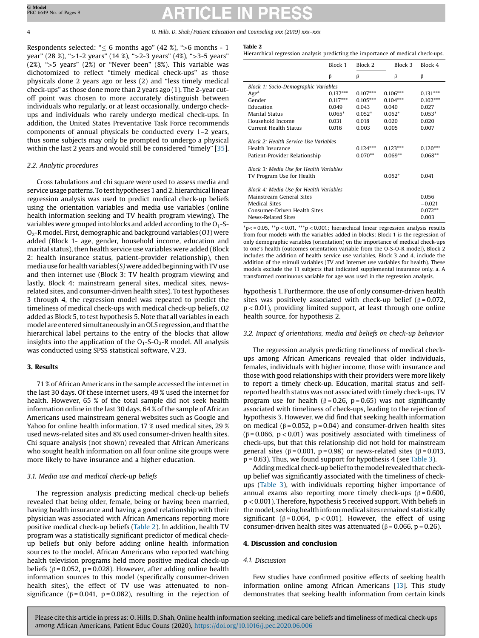Respondents selected: " $\leq$  6 months ago" (42 %), ">6 months - 1 year" (28 %), ">1-2 years" (14 %), ">2-3 years" (4%), ">3-5 years" (2%), ">5 years" (2%) or "Never been" (8%). This variable was dichotomized to reflect "timely medical check-ups" as those physicals done 2 years ago or less (2) and "less timely medical check-ups" as those done more than 2 years ago (1). The 2-year cutoff point was chosen to more accurately distinguish between individuals who regularly, or at least occasionally, undergo checkups and individuals who rarely undergo medical check-ups. In addition, the United States Preventative Task Force recommends components of annual physicals be conducted every 1–2 years, thus some subjects may only be prompted to undergo a physical within the last 2 years and would still be considered "timely" [\[35\]](#page-8-0).

### 2.2. Analytic procedures

Cross tabulations and chi square were used to assess media and service usage patterns. To test hypotheses 1 and 2, hierarchical linear regression analysis was used to predict medical check-up beliefs using the orientation variables and media use variables (online health information seeking and TV health program viewing). The variables were grouped into blocks and added according to the  $O_1$ -S- $O<sub>2</sub>$ -R model. First, demographic and background variables (O1) were added (Block 1- age, gender, household income, education and marital status), then health service use variables were added (Block 2: health insurance status, patient-provider relationship), then media use for health variables  $(S)$  were added beginning with TV use and then internet use (Block 3: TV health program viewing and lastly, Block 4: mainstream general sites, medical sites, newsrelated sites, and consumer-driven health sites). To test hypotheses 3 through 4, the regression model was repeated to predict the timeliness of medical check-ups with medical check-up beliefs, O2 added as Block 5, to test hypothesis 5. Note that all variables in each model are entered simultaneously in an OLS regression, and that the hierarchical label pertains to the entry of the blocks that allow insights into the application of the  $O_1-S-O_2-R$  model. All analysis was conducted using SPSS statistical software, V.23.

# 3. Results

71 % of African Americans in the sample accessed the internet in the last 30 days. Of these internet users, 49 % used the internet for health. However, 65 % of the total sample did not seek health information online in the last 30 days. 64 % of the sample of African Americans used mainstream general websites such as Google and Yahoo for online health information. 17 % used medical sites, 29 % used news-related sites and 8% used consumer-driven health sites. Chi square analysis (not shown) revealed that African Americans who sought health information on all four online site groups were more likely to have insurance and a higher education.

# 3.1. Media use and medical check-up beliefs

The regression analysis predicting medical check-up beliefs revealed that being older, female, being or having been married, having health insurance and having a good relationship with their physician was associated with African Americans reporting more positive medical check-up beliefs (Table 2). In addition, health TV program was a statistically significant predictor of medical checkup beliefs but only before adding online health information sources to the model. African Americans who reported watching health television programs held more positive medical check-up beliefs ( $β = 0.052$ ,  $p = 0.028$ ). However, after adding online health information sources to this model (specifically consumer-driven health sites), the effect of TV use was attenuated to nonsignificance ( $\beta$  = 0.041, p = 0.082), resulting in the rejection of

#### Table 2

Hierarchical regression analysis predicting the importance of medical check-ups.

|                                                                                                                                                                                                                      | Block 1<br>Block 2      |                                     | Block 3                                 | Block 4    |  |
|----------------------------------------------------------------------------------------------------------------------------------------------------------------------------------------------------------------------|-------------------------|-------------------------------------|-----------------------------------------|------------|--|
|                                                                                                                                                                                                                      | β                       | β                                   | β                                       | β          |  |
| <b>Block 1: Socio-Demographic Variables</b>                                                                                                                                                                          |                         |                                     |                                         |            |  |
| Age <sup>a</sup>                                                                                                                                                                                                     | $0.137***$              | $0.107***$                          | $0.106***$                              | $0.131***$ |  |
| Gender                                                                                                                                                                                                               | $0.117***$              | $0.105***$                          | $0.104***$                              | $0.102***$ |  |
| Education                                                                                                                                                                                                            | 0.049                   | 0.043                               | 0.040                                   | 0.027      |  |
| <b>Marital Status</b>                                                                                                                                                                                                | $0.065*$                | $0.052*$                            | $0.052*$                                | $0.053*$   |  |
| Household Income                                                                                                                                                                                                     | 0.031                   | 0.018                               | 0.020                                   | 0.020      |  |
| Current Health Status                                                                                                                                                                                                | 0.016                   | 0.003                               | 0.005                                   | 0.007      |  |
| <b>Block 2: Health Service Use Variables</b><br>Health Insurance<br>Patient-Provider Relationship<br>Block 3: Media Use for Health Variables<br>TV Program Use for Health<br>Block 4: Media Use for Health Variables | $0.124***$<br>$0.070**$ | $0.123***$<br>$0.069**$<br>$0.052*$ | $0.120***$<br>$0.068**$<br>0.041        |            |  |
| Mainstream General Sites<br><b>Medical Sites</b><br>Consumer-Driven Health Sites<br>News-Related Sites                                                                                                               |                         |                                     | 0.056<br>$-0.021$<br>$0.072**$<br>0.003 |            |  |

 $p< = 0.05$ ,  $*p < 0.01$ ,  $**p < 0.001$ ; hierarchical linear regression analysis results from four models with the variables added in blocks: Block 1 is the regression of only demographic variables (orientation) on the importance of medical check-ups to one's health (outcomes orientation variable from the O-S-O-R model), Block 2 includes the addition of health service use variables, Block 3 and 4, include the addition of the stimuli variables (TV and Internet use variables for health). These models exclude the 11 subjects that indicated supplemental insurance only. a. A transformed continuous variable for age was used in the regression analysis.

hypothesis 1. Furthermore, the use of only consumer-driven health sites was positively associated with check-up belief ( $\beta$  = 0.072, p < 0.01), providing limited support, at least through one online health source, for hypothesis 2.

### 3.2. Impact of orientations, media and beliefs on check-up behavior

The regression analysis predicting timeliness of medical checkups among African Americans revealed that older individuals, females, individuals with higher income, those with insurance and those with good relationships with their providers were more likely to report a timely check-up. Education, marital status and selfreported health status was not associated with timely check-ups. TV program use for health ( $β = 0.26$ ,  $p = 0.65$ ) was not significantly associated with timeliness of check-ups, leading to the rejection of hypothesis 3. However, we did find that seeking health information on medical ( $\beta$  = 0.052, p = 0.04) and consumer-driven health sites ( $\beta$  = 0.066, p < 0.01) was positively associated with timeliness of check-ups, but that this relationship did not hold for mainstream general sites ( $\beta$  = 0.001, p = 0.98) or news-related sites ( $\beta$  = 0.013, p = 0.63). Thus, we found support for hypothesis 4 (see [Table](#page-4-0) 3).

Adding medical check-up belief to the model revealed that checkup belief was significantly associated with the timeliness of checkups ([Table](#page-4-0) 3), with individuals reporting higher importance of annual exams also reporting more timely check-ups ( $\beta$  = 0.600, p < 0.001). Therefore, hypothesis 5 received support. With beliefs in the model, seeking health info on medical sites remained statistically significant ( $\beta$  = 0.064, p < 0.01). However, the effect of using consumer-driven health sites was attenuated ( $β = 0.066$ ,  $p = 0.26$ ).

### 4. Discussion and conclusion

# 4.1. Discussion

Few studies have confirmed positive effects of seeking health information online among African Americans [[13](#page-7-0)]. This study demonstrates that seeking health information from certain kinds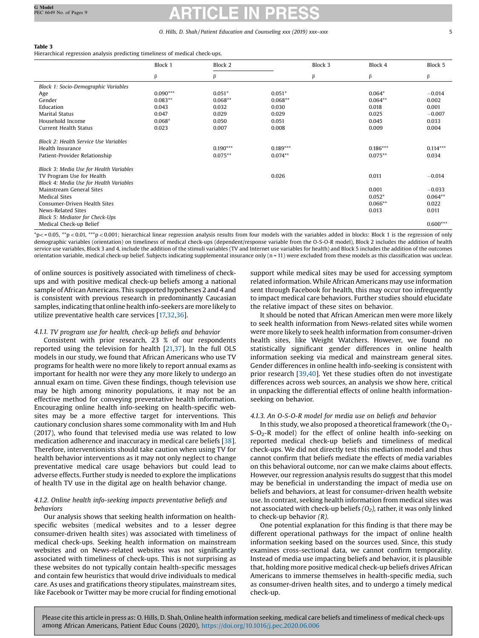# <span id="page-4-0"></span>Table 3

Hierarchical regression analysis predicting timeliness of medical check-ups.

|                                              | Block 1    | Block 2    |            | Block 3 | Block 4    | Block 5    |
|----------------------------------------------|------------|------------|------------|---------|------------|------------|
|                                              | β          | β          |            | $\beta$ | β          | β          |
| Block 1: Socio-Demographic Variables         |            |            |            |         |            |            |
| Age                                          | $0.090***$ | $0.051*$   | $0.051*$   |         | $0.064*$   | $-0.014$   |
| Gender                                       | $0.083**$  | $0.068**$  | $0.068**$  |         | $0.064**$  | 0.002      |
| Education                                    | 0.043      | 0.032      | 0.030      |         | 0.018      | 0.001      |
| <b>Marital Status</b>                        | 0.047      | 0.029      | 0.029      |         | 0.025      | $-0.007$   |
| Household Income                             | $0.068*$   | 0.050      | 0.051      |         | 0.045      | 0.033      |
| Current Health Status                        | 0.023      | 0.007      | 0.008      |         | 0.009      | 0.004      |
| <b>Block 2: Health Service Use Variables</b> |            |            |            |         |            |            |
| Health Insurance                             |            | $0.190***$ | $0.189***$ |         | $0.186***$ | $0.114***$ |
| Patient-Provider Relationship                |            | $0.075**$  | $0.074**$  |         | $0.075***$ | 0.034      |
| Block 3: Media Use for Health Variables      |            |            |            |         |            |            |
| TV Program Use for Health                    |            |            | 0.026      |         | 0.011      | $-0.014$   |
| Block 4: Media Use for Health Variables      |            |            |            |         |            |            |
| Mainstream General Sites                     |            |            |            |         | 0.001      | $-0.033$   |
| <b>Medical Sites</b>                         |            |            |            |         | $0.052*$   | $0.064**$  |
| Consumer-Driven Health Sites                 |            |            |            |         | $0.066**$  | 0.022      |
| News-Related Sites                           |            |            |            |         | 0.013      | 0.011      |
| Block 5: Mediator for Check-Ups              |            |            |            |         |            |            |
| Medical Check-up Belief                      |            |            |            |         |            | $0.600***$ |

\*p< = 0.05, \*\*p < 0.01, \*\*\*p < 0.001; hierarchical linear regression analysis results from four models with the variables added in blocks: Block 1 is the regression of only demographic variables (orientation) on timeliness of medical check-ups (dependent/response variable from the O-S-O-R model), Block 2 includes the addition of health service use variables, Block 3 and 4, include the addition of the stimuli variables (TV and Internet use variables for health) and Block 5 includes the addition of the outcomes orientation variable, medical check-up belief. Subjects indicating supplemental insurance only (n = 11) were excluded from these models as this classification was unclear.

of online sources is positively associated with timeliness of checkups and with positive medical check-up beliefs among a national sample of African Americans. This supported hypotheses 2 and 4 and is consistent with previous research in predominantly Caucasian samples, indicating that online health info-seekers are more likely to utilize preventative health care services [[17,32,36](#page-8-0)].

# 4.1.1. TV program use for health, check-up beliefs and behavior

Consistent with prior research, 23 % of our respondents reported using the television for health [\[21,37](#page-8-0)]. In the full OLS models in our study, we found that African Americans who use TV programs for health were no more likely to report annual exams as important for health nor were they any more likely to undergo an annual exam on time. Given these findings, though television use may be high among minority populations, it may not be an effective method for conveying preventative health information. Encouraging online health info-seeking on health-specific websites may be a more effective target for interventions. This cautionary conclusion shares some commonality with Im and Huh (2017), who found that televised media use was related to low medication adherence and inaccuracy in medical care beliefs [[38](#page-8-0)]. Therefore, interventionists should take caution when using TV for health behavior interventions as it may not only neglect to change preventative medical care usage behaviors but could lead to adverse effects. Further study is needed to explore the implications of health TV use in the digital age on health behavior change.

# 4.1.2. Online health info-seeking impacts preventative beliefs and behaviors

Our analysis shows that seeking health information on healthspecific websites (medical websites and to a lesser degree consumer-driven health sites) was associated with timeliness of medical check-ups. Seeking health information on mainstream websites and on News-related websites was not significantly associated with timeliness of check-ups. This is not surprising as these websites do not typically contain health-specific messages and contain few heuristics that would drive individuals to medical care. As uses and gratifications theory stipulates, mainstream sites, like Facebook or Twitter may be more crucial for finding emotional

support while medical sites may be used for accessing symptom related information. While African Americans may use information sent through Facebook for health, this may occur too infrequently to impact medical care behaviors. Further studies should elucidate the relative impact of these sites on behavior.

It should be noted that African American men were more likely to seek health information from News-related sites while women were more likely to seek health information from consumer-driven health sites, like Weight Watchers. However, we found no statistically significant gender differences in online health information seeking via medical and mainstream general sites. Gender differences in online health info-seeking is consistent with prior research [[39,40](#page-8-0)]. Yet these studies often do not investigate differences across web sources, an analysis we show here, critical in unpacking the differential effects of online health informationseeking on behavior.

# 4.1.3. An O-S-O-R model for media use on beliefs and behavior

In this study, we also proposed a theoretical framework (the  $O_1$ - $S-D<sub>2</sub>-R$  model) for the effect of online health info-seeking on reported medical check-up beliefs and timeliness of medical check-ups. We did not directly test this mediation model and thus cannot confirm that beliefs mediate the effects of media variables on this behavioral outcome, nor can we make claims about effects. However, our regression analysis results do suggest that this model may be beneficial in understanding the impact of media use on beliefs and behaviors, at least for consumer-driven health website use. In contrast, seeking health information from medical sites was not associated with check-up beliefs  $(O_2)$ , rather, it was only linked to check-up behavior (R).

One potential explanation for this finding is that there may be different operational pathways for the impact of online health information seeking based on the sources used. Since, this study examines cross-sectional data, we cannot confirm temporality. Instead of media use impacting beliefs and behavior, it is plausible that, holding more positive medical check-up beliefs drives African Americans to immerse themselves in health-specific media, such as consumer-driven health sites, and to undergo a timely medical check-up.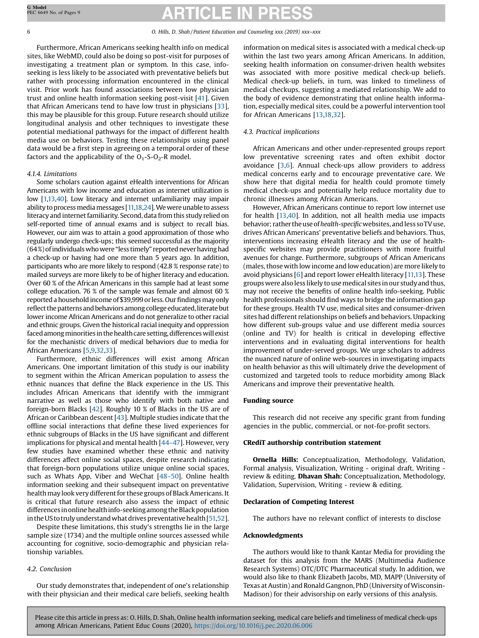Furthermore, African Americans seeking health info on medical sites, like WebMD, could also be doing so post-visit for purposes of investigating a treatment plan or symptom. In this case, infoseeking is less likely to be associated with preventative beliefs but rather with processing information encountered in the clinical visit. Prior work has found associations between low physician trust and online health information seeking post-visit [[41](#page-8-0)]. Given that African Americans tend to have low trust in physicians [\[33\]](#page-8-0), this may be plausible for this group. Future research should utilize longitudinal analysis and other techniques to investigate these potential mediational pathways for the impact of different health media use on behaviors. Testing these relationships using panel data would be a first step in agreeing on a temporal order of these factors and the applicability of the  $O_1-S-O_2-R$  model.

# 4.1.4. Limitations

Some scholars caution against eHealth interventions for African Americans with low income and education as internet utilization is low [\[1,13](#page-7-0)[,40](#page-8-0)]. Low literacy and internet unfamiliarity may impair ability to process media messages [[11,](#page-7-0)[18,24](#page-8-0)]. We were unable to assess literacy and internet familiarity. Second, data from this study relied on self-reported time of annual exams and is subject to recall bias. However, our aim was to attain a good approximation of those who regularly undergo check-ups; this seemed successful as the majority (64%) of individuals who were "less timely" reported never having had a check-up or having had one more than 5 years ago. In addition, participants who are more likely to respond (42.8 % response rate) to mailed surveys are more likely to be of higher literacy and education. Over 60 % of the African Americans in this sample had at least some college education. 76 % of the sample was female and almost 60 % reported a household income of \$39,999 or less. Our findings may only reflect the patterns and behaviors among college educated, literate but lower income African Americans and do not generalize to other racial and ethnic groups. Given the historical racial inequity and oppression faced among minorities in the health care setting, differences will exist for the mechanistic drivers of medical behaviors due to media for African Americans [\[5,9,](#page-7-0)[32,33](#page-8-0)].

Furthermore, ethnic differences will exist among African Americans. One important limitation of this study is our inability to segment within the African American population to assess the ethnic nuances that define the Black experience in the US. This includes African Americans that identify with the immigrant narrative as well as those who identify with both native and foreign-born Blacks [\[42](#page-8-0)]. Roughly 10 % of Blacks in the US are of African or Caribbean descent [\[43\]](#page-8-0). Multiple studies indicate that the offline social interactions that define these lived experiences for ethnic subgroups of Blacks in the US have significant and different implications for physical and mental health [[44](#page-8-0)–47]. However, very few studies have examined whether these ethnic and nativity differences affect online social spaces, despite research indicating that foreign-born populations utilize unique online social spaces, such as Whats App, Viber and WeChat [\[48](#page-8-0)–50]. Online health information seeking and their subsequent impact on preventative health may look very different for these groups of Black Americans. It is critical that future research also assess the impact of ethnic differences in online healthinfo-seeking amongthe Black population in the US to truly understand what drives preventative health  $[51,52]$  $[51,52]$ .

Despite these limitations, this study's strengths lie in the large sample size (1734) and the multiple online sources assessed while accounting for cognitive, socio-demographic and physician relationship variables.

# 4.2. Conclusion

Our study demonstrates that, independent of one's relationship with their physician and their medical care beliefs, seeking health information on medical sites is associated with a medical check-up within the last two years among African Americans. In addition, seeking health information on consumer-driven health websites was associated with more positive medical check-up beliefs. Medical check-up beliefs, in turn, was linked to timeliness of medical checkups, suggesting a mediated relationship. We add to the body of evidence demonstrating that online health information, especially medical sites, could be a powerful intervention tool for African Americans [[13,](#page-7-0)[18,32](#page-8-0)].

# 4.3. Practical implications

African Americans and other under-represented groups report low preventative screening rates and often exhibit doctor avoidance [[3](#page-7-0),[6](#page-7-0)]. Annual check-ups allow providers to address medical concerns early and to encourage preventative care. We show here that digital media for health could promote timely medical check-ups and potentially help reduce mortality due to chronic illnesses among African Americans.

However, African Americans continue to report low internet use for health [\[13](#page-7-0)[,40\]](#page-8-0). In addition, not all health media use impacts behavior; rather the use of health-specific websites, and less so TV use, drives African Americans' preventative beliefs and behaviors. Thus, interventions increasing eHealth literacy and the use of healthspecific websites may provide practitioners with more fruitful avenues for change. Furthermore, subgroups of African Americans (males, those with low income and low education) are more likely to avoid physicians [[6](#page-7-0)] and report lower eHealth literacy [[11,13](#page-7-0)]. These groups were also less likely to use medical sites in our study and thus, may not receive the benefits of online health info-seeking. Public health professionals should find ways to bridge the information gap for these groups. Health TV use, medical sites and consumer-driven sites had different relationships on beliefs and behaviors. Unpacking how different sub-groups value and use different media sources (online and TV) for health is critical in developing effective interventions and in evaluating digital interventions for health improvement of under-served groups. We urge scholars to address the nuanced nature of online web-sources in investigating impacts on health behavior as this will ultimately drive the development of customized and targeted tools to reduce morbidity among Black Americans and improve their preventative health.

### Funding source

This research did not receive any specific grant from funding agencies in the public, commercial, or not-for-profit sectors.

### CRediT authorship contribution statement

Ornella Hills: Conceptualization, Methodology, Validation, Formal analysis, Visualization, Writing - original draft, Writing review & editing. Dhavan Shah: Conceptualization, Methodology, Validation, Supervision, Writing - review & editing.

# Declaration of Competing Interest

The authors have no relevant conflict of interests to disclose

### Acknowledgments

The authors would like to thank Kantar Media for providing the dataset for this analysis from the MARS (Multimedia Audience Research Systems) OTC/DTC Pharmaceutical study. In addition, we would also like to thank Elizabeth Jacobs, MD, MAPP (University of Texas at Austin) and Ronald Gangnon, PhD (University of Wisconsin-Madison) for their advisorship on early versions of this analysis.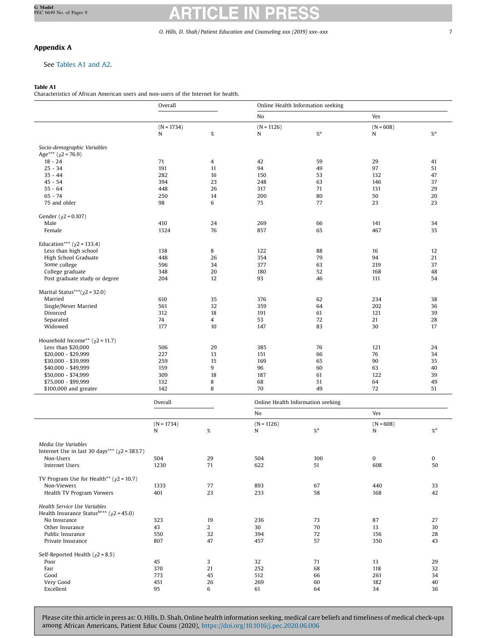# Appendix A

# See Tables A1 and A2.

# Table A1

Characteristics of African American users and non-users of the Internet for health.

|                                                                                            | Overall      |                | Online Health Information seeking |                   |             |                               |  |  |  |  |
|--------------------------------------------------------------------------------------------|--------------|----------------|-----------------------------------|-------------------|-------------|-------------------------------|--|--|--|--|
|                                                                                            |              |                | No                                |                   | Yes         |                               |  |  |  |  |
|                                                                                            | $(N = 1734)$ |                | $(N = 1126)$                      |                   | $(N = 608)$ |                               |  |  |  |  |
|                                                                                            | N            | $\%$           | ${\bf N}$                         | $\%$ <sup>a</sup> | N           | $%$ <sup><math>a</math></sup> |  |  |  |  |
|                                                                                            |              |                |                                   |                   |             |                               |  |  |  |  |
| Socio-demographic Variables<br>Age*** $(\chi$ 2 = 76.9)                                    |              |                |                                   |                   |             |                               |  |  |  |  |
| $18 - 24$                                                                                  | 71           | 4              | 42                                | 59                | 29          | 41                            |  |  |  |  |
| $25 - 34$                                                                                  | 191          | 11             | 94                                | 49                | 97          | 51                            |  |  |  |  |
| $35 - 44$                                                                                  | 282          | 16             | 150                               | 53                | 132         | 47                            |  |  |  |  |
| $45 - 54$                                                                                  | 394          | 23             | 248                               | 63                | 146         | 37                            |  |  |  |  |
| $55 - 64$                                                                                  | 448          | 26             | 317                               | 71                | 131         | 29                            |  |  |  |  |
| $65 - 74$                                                                                  | 250          | 14             | 200                               | 80                | 50          | 20                            |  |  |  |  |
| 75 and older                                                                               | 98           | 6              | 75                                | 77                | 23          | 23                            |  |  |  |  |
| Gender ( $\chi$ 2 = 0.107)                                                                 |              |                |                                   |                   |             |                               |  |  |  |  |
| Male                                                                                       | 410          | 24             | 269                               | 66                | 141         | 34                            |  |  |  |  |
| Female                                                                                     | 1324         | 76             | 857                               | 65                | 467         | 35                            |  |  |  |  |
|                                                                                            |              |                |                                   |                   |             |                               |  |  |  |  |
| Education*** $(\chi^2 = 133.4)$                                                            |              |                |                                   |                   |             |                               |  |  |  |  |
| Less than high school                                                                      | 138<br>448   | 8<br>26        | 122<br>354                        | 88<br>79          | 16<br>94    | 12<br>21                      |  |  |  |  |
| High School Graduate<br>Some college                                                       | 596          | 34             | 377                               | 63                | 219         | 37                            |  |  |  |  |
| College graduate                                                                           | 348          | 20             | 180                               | 52                | 168         | 48                            |  |  |  |  |
| Post graduate study or degree                                                              | 204          | 12             | 93                                | 46                | 111         | 54                            |  |  |  |  |
|                                                                                            |              |                |                                   |                   |             |                               |  |  |  |  |
| Marital Status***( $\chi$ 2 = 32.0)                                                        |              |                |                                   |                   |             |                               |  |  |  |  |
| Married                                                                                    | 610          | 35             | 376                               | 62                | 234         | 38                            |  |  |  |  |
| Single/Never Married                                                                       | 561          | 32             | 359                               | 64                | 202         | 36                            |  |  |  |  |
| Divorced                                                                                   | 312          | 18             | 191                               | 61                | 121         | 39                            |  |  |  |  |
| Separated                                                                                  | 74           | 4              | 53                                | 72                | 21          | 28                            |  |  |  |  |
| Widowed                                                                                    | 177          | 10             | 147                               | 83                | 30          | 17                            |  |  |  |  |
| Household Income** $(\chi^2 = 11.7)$                                                       |              |                |                                   |                   |             |                               |  |  |  |  |
| Less than \$20,000                                                                         | 506          | 29             | 385                               | 76                | 121         | 24                            |  |  |  |  |
| \$20,000 - \$29,999                                                                        | 227          | 13             | 151                               | 66                | 76          | 34                            |  |  |  |  |
| \$30,000 - \$39,999                                                                        | 259          | 15             | 169                               | 65                | 90          | 35                            |  |  |  |  |
| \$40,000 - \$49,999                                                                        | 159          | 9              | 96                                | 60                | 63          | 40                            |  |  |  |  |
| \$50,000 - \$74,999                                                                        | 309          | 18             | 187                               | 61                | 122         | 39                            |  |  |  |  |
| \$75,000 - \$99,999                                                                        | 132          | 8              | 68                                | 51                | 64          | 49                            |  |  |  |  |
| \$100,000 and greater                                                                      | 142          | 8              | 70                                | 49                | 72          | 51                            |  |  |  |  |
|                                                                                            | Overall      |                | Online Health Information seeking |                   |             |                               |  |  |  |  |
|                                                                                            |              |                | No                                |                   | Yes         |                               |  |  |  |  |
|                                                                                            | $(N = 1734)$ |                | $(N = 1126)$                      |                   | $(N = 608)$ |                               |  |  |  |  |
|                                                                                            | N            | $\%$           | N                                 | $\%$ <sup>a</sup> | N           | $\%$ <sup>a</sup>             |  |  |  |  |
|                                                                                            |              |                |                                   |                   |             |                               |  |  |  |  |
| Media Use Variables                                                                        |              |                |                                   |                   |             |                               |  |  |  |  |
| Internet Use in last 30 days*** ( $\chi$ 2 = 383.7)<br>Non-Users                           | 504          | 29             | 504                               | 100               | 0           | $\bf{0}$                      |  |  |  |  |
| Internet Users                                                                             | 1230         | 71             | 622                               | 51                | 608         | 50                            |  |  |  |  |
|                                                                                            |              |                |                                   |                   |             |                               |  |  |  |  |
| TV Program Use for Health** ( $\chi$ 2 = 10.7)                                             |              |                |                                   |                   |             |                               |  |  |  |  |
| Non-Viewers                                                                                | 1333         | 77             | 893                               | 67                | 440         | 33                            |  |  |  |  |
| Health TV Program Viewers                                                                  | 401          | 23             | 233                               | 58                | 168         | 42                            |  |  |  |  |
|                                                                                            |              |                |                                   |                   |             |                               |  |  |  |  |
| Health Service Use Variables<br>Health Insurance Status <sup>b***</sup> ( $\chi$ 2 = 45.0) |              |                |                                   |                   |             |                               |  |  |  |  |
| No Insurance                                                                               | 323          | 19             | 236                               | 73                | 87          | 27                            |  |  |  |  |
| Other Insurance                                                                            | 43           | $\overline{2}$ | 30                                | 70                | 13          | 30                            |  |  |  |  |
| Public Insurance                                                                           | 550          | 32             | 394                               | 72                | 156         | 28                            |  |  |  |  |
| Private Insurance                                                                          | 807          | 47             | 457                               | 57                | 350         | 43                            |  |  |  |  |
|                                                                                            |              |                |                                   |                   |             |                               |  |  |  |  |
| Self-Reported Health ( $\chi$ 2 = 8.5)                                                     |              |                |                                   |                   |             |                               |  |  |  |  |
| Poor                                                                                       | 45           | 3              | 32                                | 71                | 13          | 29                            |  |  |  |  |
| Fair<br>Good                                                                               | 370<br>773   | 21<br>45       | 252                               | 68                | 118<br>261  | 32<br>34                      |  |  |  |  |
| Very Good                                                                                  | 451          | 26             | 512<br>269                        | 66<br>60          | 182         | 40                            |  |  |  |  |
| Excellent                                                                                  | 95           | 6              | 61                                | 64                | 34          | 36                            |  |  |  |  |
|                                                                                            |              |                |                                   |                   |             |                               |  |  |  |  |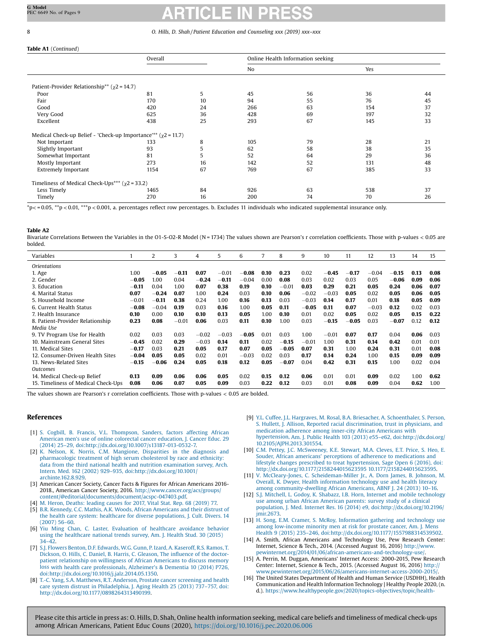### <span id="page-7-0"></span>Table A1 (Continued)

|                                                                     | Overall |    | Online Health Information seeking |    |     |    |  |  |  |
|---------------------------------------------------------------------|---------|----|-----------------------------------|----|-----|----|--|--|--|
|                                                                     |         |    | No                                |    | Yes |    |  |  |  |
|                                                                     |         |    |                                   |    |     |    |  |  |  |
| Patient-Provider Relationship** ( $\chi$ 2 = 14.7)                  |         |    |                                   |    |     |    |  |  |  |
| Poor                                                                | 81      | 5  | 45                                | 56 | 36  | 44 |  |  |  |
| Fair                                                                | 170     | 10 | 94                                | 55 | 76  | 45 |  |  |  |
| Good                                                                | 420     | 24 | 266                               | 63 | 154 | 37 |  |  |  |
| Very Good                                                           | 625     | 36 | 428                               | 69 | 197 | 32 |  |  |  |
| Excellent                                                           | 438     | 25 | 293                               | 67 | 145 | 33 |  |  |  |
| Medical Check-up Belief - 'Check-up Importance'** $(\chi^2 = 11.7)$ |         |    |                                   |    |     |    |  |  |  |
| Not Important                                                       | 133     | 8  | 105                               | 79 | 28  | 21 |  |  |  |
| Slightly Important                                                  | 93      | 5  | 62                                | 58 | 38  | 35 |  |  |  |
| Somewhat Important                                                  | 81      | 5  | 52                                | 64 | 29  | 36 |  |  |  |
| Mostly Important                                                    | 273     | 16 | 142                               | 52 | 131 | 48 |  |  |  |
| <b>Extremely Important</b>                                          | 1154    | 67 | 769                               | 67 | 385 | 33 |  |  |  |
| Timeliness of Medical Check-Ups <sup>***</sup> ( $\chi$ 2 = 33.2)   |         |    |                                   |    |     |    |  |  |  |
| Less Timely                                                         | 1465    | 84 | 926                               | 63 | 538 | 37 |  |  |  |
| Timely                                                              | 270     | 16 | 200                               | 74 | 70  | 26 |  |  |  |

 $p \le 0.05$ ,  $p \le 0.01$ ,  $p \le 0.001$ , a. percentages reflect row percentages. b. Excludes 11 individuals who indicated supplemental insurance only.

#### Table A2

Bivariate Correlations Between the Variables in the O1-S-O2-R Model (N = 1734) The values shown are Pearson's r correlation coefficients. Those with p-values < 0.05 are bolded.

| Variables                           |         | 2       | 3       | 4       | 5       | 6       |      | 8       | 9       | 10      | 11      | 12      | 13      | 14   | 15   |
|-------------------------------------|---------|---------|---------|---------|---------|---------|------|---------|---------|---------|---------|---------|---------|------|------|
| <i><u><b>Orientations</b></u></i>   |         |         |         |         |         |         |      |         |         |         |         |         |         |      |      |
| 1. Age                              | 1.00    | $-0.05$ | $-0.11$ | 0.07    | $-0.01$ | $-0.08$ | 0.10 | 0.23    | 0.02    | $-0.45$ | $-0.17$ | $-0.04$ | $-0.15$ | 0.13 | 0.08 |
| 2. Gender                           | $-0.05$ | 1.00    | 0.04    | $-0.24$ | $-0.11$ | $-0.04$ | 0.00 | 0.08    | 0.03    | 0.02    | 0.03    | 0.05    | $-0.06$ | 0.09 | 0.06 |
| 3. Education                        | $-0.11$ | 0.04    | 1.00    | 0.07    | 0.38    | 0.19    | 0.10 | $-0.01$ | 0.03    | 0.29    | 0.21    | 0.05    | 0.24    | 0.06 | 0.07 |
| 4. Marital Status                   | 0.07    | $-0.24$ | 0.07    | 1.00    | 0.24    | 0.03    | 0.10 | 0.06    | $-0.02$ | $-0.03$ | 0.05    | 0.02    | 0.05    | 0.06 | 0.05 |
| 5. Household Income                 | $-0.01$ | $-0.11$ | 0.38    | 0.24    | 1.00    | 0.16    | 0.13 | 0.03    | $-0.03$ | 0.14    | 0.17    | 0.01    | 0.18    | 0.05 | 0.09 |
| 6. Current Health Status            | $-0.08$ | $-0.04$ | 0.19    | 0.03    | 0.16    | 1.00    | 0.05 | 0.11    | $-0.05$ | 0.11    | 0.07    | $-0.03$ | 0.12    | 0.02 | 0.03 |
| 7. Health Insurance                 | 0.10    | 0.00    | 0.10    | 0.10    | 0.13    | 0.05    | 1.00 | 0.10    | 0.01    | 0.02    | 0.05    | 0.02    | 0.05    | 0.15 | 0.22 |
| 8. Patient-Provider Relationship    | 0.23    | 0.08    | $-0.01$ | 0.06    | 0.03    | 0.11    | 0.10 | 1.00    | 0.03    | $-0.15$ | $-0.05$ | 0.03    | $-0.07$ | 0.12 | 0.12 |
| Media Use                           |         |         |         |         |         |         |      |         |         |         |         |         |         |      |      |
| 9. TV Program Use for Health        | 0.02    | 0.03    | 0.03    | $-0.02$ | $-0.03$ | $-0.05$ | 0.01 | 0.03    | 1.00    | $-0.01$ | 0.07    | 0.17    | 0.04    | 0.06 | 0.03 |
| 10. Mainstream General Sites        | $-0.45$ | 0.02    | 0.29    | $-0.03$ | 0.14    | 0.11    | 0.02 | $-0.15$ | $-0.01$ | 1.00    | 0.31    | 0.14    | 0.42    | 0.01 | 0.01 |
| 11. Medical Sites                   | $-0.17$ | 0.03    | 0.21    | 0.05    | 0.17    | 0.07    | 0.05 | $-0.05$ | 0.07    | 0.31    | 1.00    | 0.24    | 0.31    | 0.01 | 0.08 |
| 12. Consumer-Driven Health Sites    | $-0.04$ | 0.05    | 0.05    | 0.02    | 0.01    | $-0.03$ | 0.02 | 0.03    | 0.17    | 0.14    | 0.24    | 1.00    | 0.15    | 0.09 | 0.09 |
| 13. News-Related Sites              | $-0.15$ | $-0.06$ | 0.24    | 0.05    | 0.18    | 0.12    | 0.05 | $-0.07$ | 0.04    | 0.42    | 0.31    | 0.15    | 1.00    | 0.02 | 0.04 |
| Outcomes                            |         |         |         |         |         |         |      |         |         |         |         |         |         |      |      |
| 14. Medical Check-up Belief         | 0.13    | 0.09    | 0.06    | 0.06    | 0.05    | 0.02    | 0.15 | 0.12    | 0.06    | 0.01    | 0.01    | 0.09    | 0.02    | 1.00 | 0.62 |
| 15. Timeliness of Medical Check-Ups | 0.08    | 0.06    | 0.07    | 0.05    | 0.09    | 0.03    | 0.22 | 0.12    | 0.03    | 0.01    | 0.08    | 0.09    | 0.04    | 0.62 | 1.00 |

The values shown are Pearson's r correlation coefficients. Those with p-values  $< 0.05$  are bolded

# References

- [1] S. Cogbill, B. Francis, V.L. [Thompson,](http://refhub.elsevier.com/S0738-3991(20)30324-4/sbref0005) Sanders, factors affecting African American men's use of online colorectal cancer [education,](http://refhub.elsevier.com/S0738-3991(20)30324-4/sbref0005) J. Cancer Educ. 29 (2014) 25–29, [doi:http://dx.doi.org/10.1007/s13187-013-0532-7.](http://refhub.elsevier.com/S0738-3991(20)30324-4/sbref0005)
- [2] K. Nelson, K. Norris, C.M. Mangione, [Disparities](http://refhub.elsevier.com/S0738-3991(20)30324-4/sbref0010) in the diagnosis and [pharmacologic](http://refhub.elsevier.com/S0738-3991(20)30324-4/sbref0010) treatment of high serum cholesterol by race and ethnicity: data from the third national health and nutrition [examination](http://refhub.elsevier.com/S0738-3991(20)30324-4/sbref0010) survey, Arch. Intern. Med. 162 (2002) 929–935, [doi:http://dx.doi.org/10.1001/](http://refhub.elsevier.com/S0738-3991(20)30324-4/sbref0010) [archinte.162.8.929.](http://dx.doi.org/10.1001/archinte.162.8.929)
- [3] American Cancer Society, Cancer Facts & Figures for African Americans 2016- 2018., American Cancer Society, 2016. [http://www.cancer.org/acs/groups/](http://www.cancer.org/acs/groups/content/@editorial/documents/document/acspc-047403.pdf) [content/@editorial/documents/document/acspc-047403.pdf](http://www.cancer.org/acs/groups/content/@editorial/documents/document/acspc-047403.pdf).
- [4] M. Heron, [Deaths:](http://refhub.elsevier.com/S0738-3991(20)30324-4/sbref0020) leading causes for 2017, Vital Stat. Rep. 68 (2019) 77.
- [5] B.R. Kennedy, C.C. Mathis, A.K. Woods, African [Americans](http://refhub.elsevier.com/S0738-3991(20)30324-4/sbref0025) and their distrust of the health care system: healthcare for diverse [populations,](http://refhub.elsevier.com/S0738-3991(20)30324-4/sbref0025) J. Cult. Divers. 14 [\(2007\)](http://refhub.elsevier.com/S0738-3991(20)30324-4/sbref0025) 56–60.
- [6] Yiu Ming Chan, C. Laster, [Evaluation](http://refhub.elsevier.com/S0738-3991(20)30324-4/sbref0030) of healthcare avoidance behavior using the [healthcare](http://refhub.elsevier.com/S0738-3991(20)30324-4/sbref0030) national trends survey, Am. J. Health Stud. 30 (2015) 34–[42.](http://refhub.elsevier.com/S0738-3991(20)30324-4/sbref0030)
- [7] S.J. Flowers Benton, D.F. [Edwards,](http://refhub.elsevier.com/S0738-3991(20)30324-4/sbref0035) W.G. Gunn, P. Izard, A. Kaseroff, R.S. Ramos, T. Dickson, O. Hills, C. Daniel, B. Harris, C. [Gleason,](http://refhub.elsevier.com/S0738-3991(20)30324-4/sbref0035) The influence of the doctorpatient [relationship](http://refhub.elsevier.com/S0738-3991(20)30324-4/sbref0035) on willingness of African Americans to discuss memory loss with health care [professionals,](http://refhub.elsevier.com/S0738-3991(20)30324-4/sbref0035) Alzheimer's & Dementia 10 (2014) P726, [doi:http://dx.doi.org/10.1016/j.jalz.2014.05.1350.](http://refhub.elsevier.com/S0738-3991(20)30324-4/sbref0035)
- [8] T.-C. Yang, S.A. [Matthews,](http://refhub.elsevier.com/S0738-3991(20)30324-4/sbref0040) R.T. Anderson, Prostate cancer screening and health care system distrust in [Philadelphia,](http://refhub.elsevier.com/S0738-3991(20)30324-4/sbref0040) J. Aging Health 25 (2013) 737–757, doi: [http://dx.doi.org/10.1177/0898264313490199.](http://dx.doi.org/10.1177/0898264313490199)
- [9] Y.L. Cuffee, J.L. Hargraves, M. Rosal, B.A. Briesacher, A. [Schoenthaler,](http://refhub.elsevier.com/S0738-3991(20)30324-4/sbref0045) S. Person, S. Hullett, J. Allison, Reported racial [discrimination,](http://refhub.elsevier.com/S0738-3991(20)30324-4/sbref0045) trust in physicians, and [medication](http://refhub.elsevier.com/S0738-3991(20)30324-4/sbref0045) adherence among inner-city African Americans with hypertension, Am. J. Public Health 103 (2013) e55–e62, [doi:http://dx.doi.org/](http://refhub.elsevier.com/S0738-3991(20)30324-4/sbref0045) [10.2105/AJPH.2013.301554.](http://dx.doi.org/10.2105/AJPH.2013.301554)
- [10] C.M. Pettey, J.C. [McSweeney,](http://refhub.elsevier.com/S0738-3991(20)30324-4/sbref0050) K.E. Stewart, M.A. Cleves, E.T. Price, S. Heo, E. Souder, African americans' perceptions of adherence to [medications](http://refhub.elsevier.com/S0738-3991(20)30324-4/sbref0050) and lifestyle changes prescribed to treat [hypertension,](http://refhub.elsevier.com/S0738-3991(20)30324-4/sbref0050) Sage Open 6 (2016), doi: <http://dx.doi.org/10.1177/2158244015623595> 10.1177/2158244015623595.
- [11] V. McCleary-Jones, C. [Scheideman-Miller](http://refhub.elsevier.com/S0738-3991(20)30324-4/sbref0055) Jr., A. Dorn James, B. Johnson, M. Overall, K. Dwyer, Health [information](http://refhub.elsevier.com/S0738-3991(20)30324-4/sbref0055) technology use and health literacy among [community-dwelling](http://refhub.elsevier.com/S0738-3991(20)30324-4/sbref0055) African Americans, ABNF J. 24 (2013) 10–16.
- [12] S.J. Mitchell, L. Godoy, K. Shabazz, I.B. Horn, Internet and mobile [technology](http://refhub.elsevier.com/S0738-3991(20)30324-4/sbref0060) use among urban African [American](http://refhub.elsevier.com/S0738-3991(20)30324-4/sbref0060) parents: survey study of a clinical population, J. Med. Internet Res. 16 (2014) e9, [doi:http://dx.doi.org/10.2196/](http://refhub.elsevier.com/S0738-3991(20)30324-4/sbref0060) [jmir.2673.](http://dx.doi.org/10.2196/jmir.2673)
- [13] H. Song, E.M. Cramer, S. McRoy, [Information](http://refhub.elsevier.com/S0738-3991(20)30324-4/sbref0065) gathering and technology use among [low-income](http://refhub.elsevier.com/S0738-3991(20)30324-4/sbref0065) minority men at risk for prostate cancer, Am. J. Mens Health 9 (2015) 235–246, [doi:http://dx.doi.org/10.1177/1557988314539502.](http://refhub.elsevier.com/S0738-3991(20)30324-4/sbref0065)
- [14] A. Smith, African Americans and Technology Use, Pew Research Center: Internet, Science & Tech., 2014. (Accessed August 16, 2016) [http://www.](http://www.pewinternet.org/2014/01/06/african-americans-and-technology-use/) [pewinternet.org/2014/01/06/african-americans-and-technology-use/](http://www.pewinternet.org/2014/01/06/african-americans-and-technology-use/).
- [15] A. Perrin, M. Duggan, Americans' Internet Access: 2000-2015, Pew Research Center: Internet, Science & Tech., 2015. (Accessed August 16, 2016) [http://](http://www.pewinternet.org/2015/06/26/americans-internet-access-2000-2015/) [www.pewinternet.org/2015/06/26/americans-internet-access-2000-2015/.](http://www.pewinternet.org/2015/06/26/americans-internet-access-2000-2015/)
- [16] The United States Department of Health and Human Service (USDHH), Health Communication and Health Information Technology | Healthy People 2020, (n. d.). [https://www.healthypeople.gov/2020/topics-objectives/topic/health-](https://www.healthypeople.gov/2020/topics-objectives/topic/health-communication-and-health-information-technology/objectives?topicId=18)